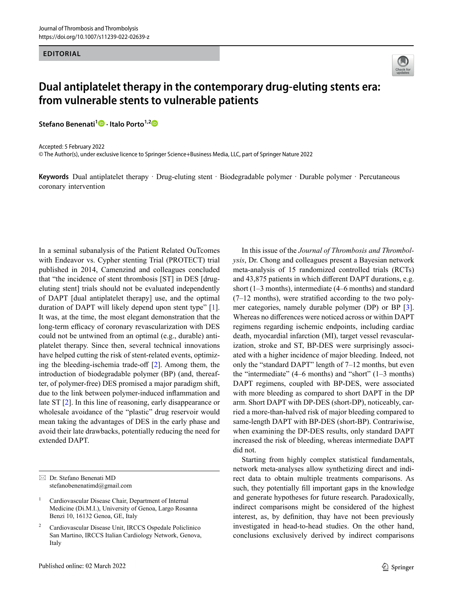## **EDITORIAL**



## **Dual antiplatelet therapy in the contemporary drug-eluting stents era: from vulnerable stents to vulnerable patients**

**Stefano Benenati<sup>1</sup><sup>O</sup>** [·](http://orcid.org/0000-0001-9669-4278) Italo Porto<sup>1,[2](http://orcid.org/0000-0002-9854-5046)</sup><sup>O</sup>

Accepted: 5 February 2022

© The Author(s), under exclusive licence to Springer Science+Business Media, LLC, part of Springer Nature 2022

**Keywords** Dual antiplatelet therapy · Drug-eluting stent · Biodegradable polymer · Durable polymer · Percutaneous coronary intervention

In a seminal subanalysis of the Patient Related OuTcomes with Endeavor vs. Cypher stenting Trial (PROTECT) trial published in 2014, Camenzind and colleagues concluded that "the incidence of stent thrombosis [ST] in DES [drugeluting stent] trials should not be evaluated independently of DAPT [dual antiplatelet therapy] use, and the optimal duration of DAPT will likely depend upon stent type" [[1](#page-1-1)]. It was, at the time, the most elegant demonstration that the long-term efficacy of coronary revascularization with DES could not be untwined from an optimal (e.g., durable) antiplatelet therapy. Since then, several technical innovations have helped cutting the risk of stent-related events, optimizing the bleeding-ischemia trade-off [[2](#page-1-2)]. Among them, the introduction of biodegradable polymer (BP) (and, thereafter, of polymer-free) DES promised a major paradigm shift, due to the link between polymer-induced inflammation and late ST [[2](#page-1-2)]. In this line of reasoning, early disappearance or wholesale avoidance of the "plastic" drug reservoir would mean taking the advantages of DES in the early phase and avoid their late drawbacks, potentially reducing the need for extended DAPT.

In this issue of the *Journal of Thrombosis and Thrombolysis*, Dr. Chong and colleagues present a Bayesian network meta-analysis of 15 randomized controlled trials (RCTs) and 43,875 patients in which different DAPT durations, e.g. short (1–3 months), intermediate (4–6 months) and standard  $(7-12 \text{ months})$ , were stratified according to the two polymer categories, namely durable polymer (DP) or BP [[3\]](#page-1-0). Whereas no differences were noticed across or within DAPT regimens regarding ischemic endpoints, including cardiac death, myocardial infarction (MI), target vessel revascularization, stroke and ST, BP-DES were surprisingly associated with a higher incidence of major bleeding. Indeed, not only the "standard DAPT" length of 7–12 months, but even the "intermediate"  $(4–6$  months) and "short"  $(1–3$  months) DAPT regimens, coupled with BP-DES, were associated with more bleeding as compared to short DAPT in the DP arm. Short DAPT with DP-DES (short-DP), noticeably, carried a more-than-halved risk of major bleeding compared to same-length DAPT with BP-DES (short-BP). Contrariwise, when examining the DP-DES results, only standard DAPT increased the risk of bleeding, whereas intermediate DAPT did not.

Starting from highly complex statistical fundamentals, network meta-analyses allow synthetizing direct and indirect data to obtain multiple treatments comparisons. As such, they potentially fill important gaps in the knowledge and generate hypotheses for future research. Paradoxically, indirect comparisons might be considered of the highest interest, as, by definition, thay have not been previously investigated in head-to-head studies. On the other hand, conclusions exclusively derived by indirect comparisons

 Dr. Stefano Benenati MD stefanobenenatimd@gmail.com

<sup>&</sup>lt;sup>1</sup> Cardiovascular Disease Chair, Department of Internal Medicine (Di.M.I.), University of Genoa, Largo Rosanna Benzi 10, 16132 Genoa, GE, Italy

<sup>2</sup> Cardiovascular Disease Unit, IRCCS Ospedale Policlinico San Martino, IRCCS Italian Cardiology Network, Genova, Italy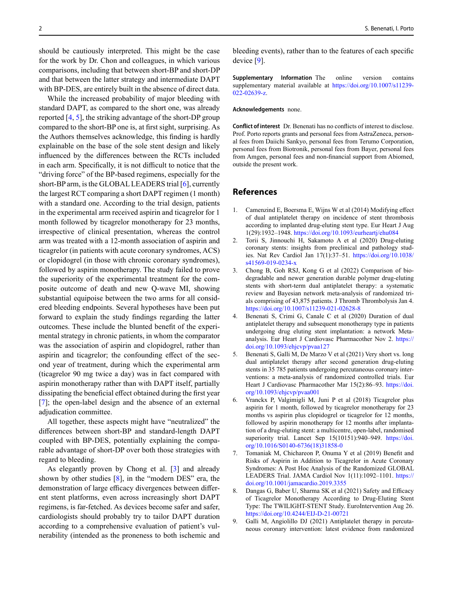should be cautiously interpreted. This might be the case for the work by Dr. Chon and colleagues, in which various comparisons, including that between short-BP and short-DP and that between the latter strategy and intermediate DAPT with BP-DES, are entirely built in the absence of direct data.

While the increased probability of major bleeding with standard DAPT, as compared to the short one, was already reported [[4,](#page-1-4) [5](#page-1-5)], the striking advantage of the short-DP group compared to the short-BP one is, at first sight, surprising. As the Authors themselves acknowledge, this finding is hardly explainable on the base of the sole stent design and likely influenced by the differences between the RCTs included in each arm. Specifically, it is not difficult to notice that the "driving force" of the BP-based regimens, especially for the short-BP arm, is the GLOBAL LEADERS trial [[6](#page-1-6)], currently the largest RCT comparing a short DAPT regimen (1 month) with a standard one. According to the trial design, patients in the experimental arm received aspirin and ticagrelor for 1 month followed by ticagrelor monotherapy for 23 months, irrespective of clinical presentation, whereas the control arm was treated with a 12-month association of aspirin and ticagrelor (in patients with acute coronary syndromes, ACS) or clopidogrel (in those with chronic coronary syndromes), followed by aspirin monotherapy. The study failed to prove the superiority of the experimental treatment for the composite outcome of death and new Q-wave MI, showing substantial equipoise between the two arms for all considered bleeding endpoints. Several hypotheses have been put forward to explain the study findings regarding the latter outcomes. These include the blunted benefit of the experimental strategy in chronic patients, in whom the comparator was the association of aspirin and clopidogrel, rather than aspirin and ticagrelor; the confounding effect of the second year of treatment, during which the experimental arm (ticagrelor 90 mg twice a day) was in fact compared with aspirin monotherapy rather than with DAPT itself, partially dissipating the beneficial effect obtained during the first year [[7](#page-1-7)]; the open-label design and the absence of an external adjudication committee.

All together, these aspects might have "neutralized" the differences between short-BP and standard-length DAPT coupled with BP-DES, potentially explaining the comparable advantage of short-DP over both those strategies with regard to bleeding.

As elegantly proven by Chong et al. [[3\]](#page-1-0) and already shown by other studies  $[8]$  $[8]$  $[8]$ , in the "modern DES" era, the demonstration of large efficacy divergences between different stent platforms, even across increasingly short DAPT regimens, is far-fetched. As devices become safer and safer, cardiologists should probably try to tailor DAPT duration according to a comprehensive evaluation of patient's vulnerability (intended as the proneness to both ischemic and bleeding events), rather than to the features of each specific device [[9](#page-1-3)].

**Supplementary Information** The online version contains supplementary material available at [https://doi.org/10.1007/s11239-](http://dx.doi.org/10.1007/s11239-022-02639-z) [022-02639-z.](http://dx.doi.org/10.1007/s11239-022-02639-z)

## **Acknowledgements** none.

**Conflict of interest** Dr. Benenati has no conflicts of interest to disclose. Prof. Porto reports grants and personal fees from AstraZeneca, personal fees from Daiichi Sankyo, personal fees from Terumo Corporation, personal fees from Biotronik, personal fees from Bayer, personal fees from Amgen, personal fees and non-financial support from Abiomed, outside the present work.

## **References**

- <span id="page-1-1"></span>1. Camenzind E, Boersma E, Wijns W et al (2014) Modifying effect of dual antiplatelet therapy on incidence of stent thrombosis according to implanted drug-eluting stent type. Eur Heart J Aug 1(29):1932–1948. [https://doi.org/10.1093/eurheartj/ehu084](http://dx.doi.org/10.1093/eurheartj/ehu084)
- <span id="page-1-2"></span>2. Torii S, Jinnouchi H, Sakamoto A et al (2020) Drug-eluting coronary stents: insights from preclinical and pathology studies. Nat Rev Cardiol Jan 17(1):37–51. [https://doi.org/10.1038/](http://dx.doi.org/10.1038/s41569-019-0234-x) [s41569-019-0234-x](http://dx.doi.org/10.1038/s41569-019-0234-x)
- <span id="page-1-0"></span>3. Chong B, Goh RSJ, Kong G et al (2022) Comparison of biodegradable and newer generation durable polymer drug-eluting stents with short-term dual antiplatelet therapy: a systematic review and Bayesian network meta-analysis of randomized trials comprising of 43,875 patients. J Thromb Thrombolysis Jan 4. [https://doi.org/10.1007/s11239-021-02628-8](http://dx.doi.org/10.1007/s11239-021-02628-8)
- <span id="page-1-4"></span>4. Benenati S, Crimi G, Canale C et al (2020) Duration of dual antiplatelet therapy and subsequent monotherapy type in patients undergoing drug eluting stent implantation: a network Metaanalysis. Eur Heart J Cardiovasc Pharmacother Nov 2. [https://](http://dx.doi.org/10.1093/ehjcvp/pvaa127) [doi.org/10.1093/ehjcvp/pvaa127](http://dx.doi.org/10.1093/ehjcvp/pvaa127)
- <span id="page-1-5"></span>5. Benenati S, Galli M, De Marzo V et al (2021) Very short vs. long dual antiplatelet therapy after second generation drug-eluting stents in 35 785 patients undergoing percutaneous coronary interventions: a meta-analysis of randomized controlled trials. Eur Heart J Cardiovasc Pharmacother Mar 15(2):86–93. [https://doi.](http://dx.doi.org/10.1093/ehjcvp/pvaa001) [org/10.1093/ehjcvp/pvaa001](http://dx.doi.org/10.1093/ehjcvp/pvaa001)
- <span id="page-1-6"></span>6. Vranckx P, Valgimigli M, Juni P et al (2018) Ticagrelor plus aspirin for 1 month, followed by ticagrelor monotherapy for 23 months vs aspirin plus clopidogrel or ticagrelor for 12 months, followed by aspirin monotherapy for 12 months after implantation of a drug-eluting stent: a multicentre, open-label, randomised superiority trial. Lancet Sep 15(10151):940-949. [https://doi.](http://dx.doi.org/10.1016/S0140-6736(18)31858-0) [org/10.1016/S0140-6736\(18\)31858-0](http://dx.doi.org/10.1016/S0140-6736(18)31858-0)
- <span id="page-1-7"></span>7. Tomaniak M, Chichareon P, Onuma Y et al (2019) Benefit and Risks of Aspirin in Addition to Ticagrelor in Acute Coronary Syndromes: A Post Hoc Analysis of the Randomized GLOBAL LEADERS Trial. JAMA Cardiol Nov 1(11):1092–1101. [https://](http://dx.doi.org/10.1001/jamacardio.2019.3355) [doi.org/10.1001/jamacardio.2019.3355](http://dx.doi.org/10.1001/jamacardio.2019.3355)
- <span id="page-1-8"></span>8. Dangas G, Baber U, Sharma SK et al (2021) Safety and Efficacy of Ticagrelor Monotherapy According to Drug-Eluting Stent Type: The TWILIGHT-STENT Study. EuroIntervention Aug 26. [https://doi.org/10.4244/EIJ-D-21-00721](http://dx.doi.org/10.4244/EIJ-D-21-00721)
- <span id="page-1-3"></span>9. Galli M, Angiolillo DJ (2021) Antiplatelet therapy in percutaneous coronary intervention: latest evidence from randomized